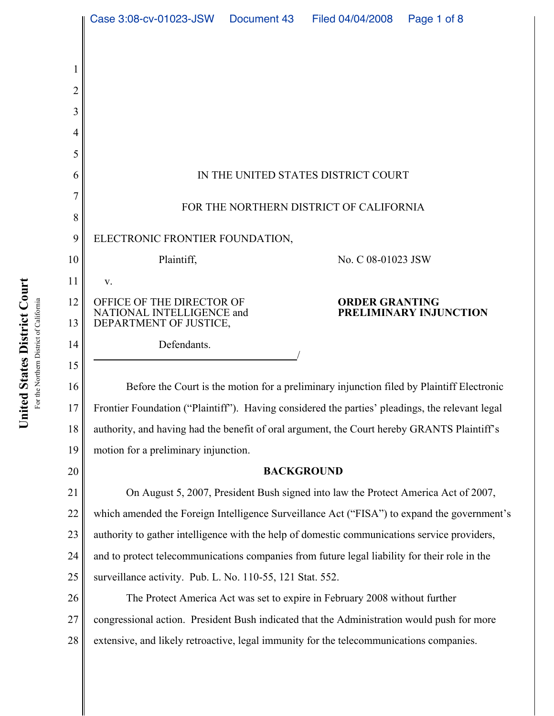|          | Case 3:08-cv-01023-JSW  Document 43  Filed 04/04/2008  Page 1 of 8                              |  |                                                 |  |
|----------|-------------------------------------------------------------------------------------------------|--|-------------------------------------------------|--|
|          |                                                                                                 |  |                                                 |  |
|          |                                                                                                 |  |                                                 |  |
|          |                                                                                                 |  |                                                 |  |
| 3        |                                                                                                 |  |                                                 |  |
|          |                                                                                                 |  |                                                 |  |
| 5        |                                                                                                 |  |                                                 |  |
| 6        | IN THE UNITED STATES DISTRICT COURT                                                             |  |                                                 |  |
| 7        |                                                                                                 |  |                                                 |  |
| 8        | FOR THE NORTHERN DISTRICT OF CALIFORNIA                                                         |  |                                                 |  |
| 9        | ELECTRONIC FRONTIER FOUNDATION,                                                                 |  |                                                 |  |
| 10       | Plaintiff,                                                                                      |  | No. C 08-01023 JSW                              |  |
| 11       | V.                                                                                              |  |                                                 |  |
| 12<br>13 | OFFICE OF THE DIRECTOR OF<br>NATIONAL INTELLIGENCE and<br>DEPARTMENT OF JUSTICE,                |  | <b>ORDER GRANTING</b><br>PRELIMINARY INJUNCTION |  |
| 14       | Defendants.                                                                                     |  |                                                 |  |
| 15       |                                                                                                 |  |                                                 |  |
| 16       | Before the Court is the motion for a preliminary injunction filed by Plaintiff Electronic       |  |                                                 |  |
| 17       | Frontier Foundation ("Plaintiff"). Having considered the parties' pleadings, the relevant legal |  |                                                 |  |
| 18       | authority, and having had the benefit of oral argument, the Court hereby GRANTS Plaintiff's     |  |                                                 |  |
| 19       | motion for a preliminary injunction.                                                            |  |                                                 |  |
| 20       | <b>BACKGROUND</b>                                                                               |  |                                                 |  |
| 21       | On August 5, 2007, President Bush signed into law the Protect America Act of 2007,              |  |                                                 |  |
| 22       | which amended the Foreign Intelligence Surveillance Act ("FISA") to expand the government's     |  |                                                 |  |
| 23       | authority to gather intelligence with the help of domestic communications service providers,    |  |                                                 |  |
| 24       | and to protect telecommunications companies from future legal liability for their role in the   |  |                                                 |  |
| 25       | surveillance activity. Pub. L. No. 110-55, 121 Stat. 552.                                       |  |                                                 |  |
| 26       | The Protect America Act was set to expire in February 2008 without further                      |  |                                                 |  |
| 27       | congressional action. President Bush indicated that the Administration would push for more      |  |                                                 |  |

**urt o** For the Northern District of California District of California **C District States**  For the Northern **nited U**

28 extensive, and likely retroactive, legal immunity for the telecommunications companies.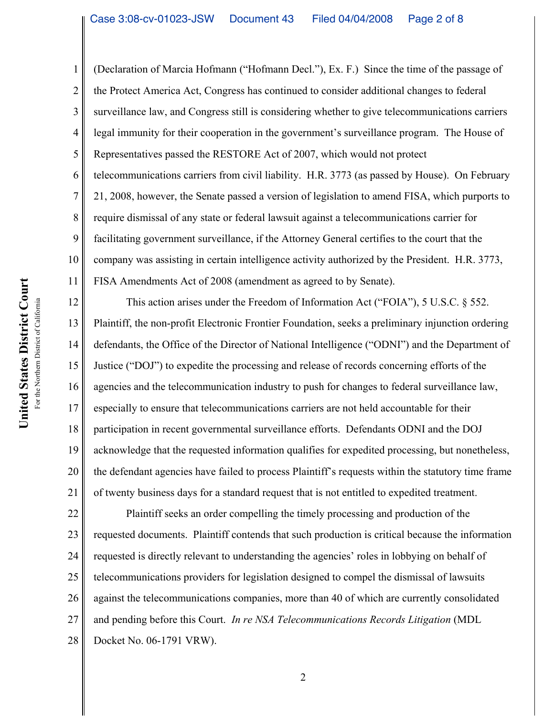1 2 3 4 5 6 7 8 9 10 11 (Declaration of Marcia Hofmann ("Hofmann Decl."), Ex. F.) Since the time of the passage of the Protect America Act, Congress has continued to consider additional changes to federal surveillance law, and Congress still is considering whether to give telecommunications carriers legal immunity for their cooperation in the government's surveillance program. The House of Representatives passed the RESTORE Act of 2007, which would not protect telecommunications carriers from civil liability. H.R. 3773 (as passed by House). On February 21, 2008, however, the Senate passed a version of legislation to amend FISA, which purports to require dismissal of any state or federal lawsuit against a telecommunications carrier for facilitating government surveillance, if the Attorney General certifies to the court that the company was assisting in certain intelligence activity authorized by the President. H.R. 3773, FISA Amendments Act of 2008 (amendment as agreed to by Senate).

12 13 14 15 16 17 18 19 20 21 This action arises under the Freedom of Information Act ("FOIA"), 5 U.S.C. § 552. Plaintiff, the non-profit Electronic Frontier Foundation, seeks a preliminary injunction ordering defendants, the Office of the Director of National Intelligence ("ODNI") and the Department of Justice ("DOJ") to expedite the processing and release of records concerning efforts of the agencies and the telecommunication industry to push for changes to federal surveillance law, especially to ensure that telecommunications carriers are not held accountable for their participation in recent governmental surveillance efforts. Defendants ODNI and the DOJ acknowledge that the requested information qualifies for expedited processing, but nonetheless, the defendant agencies have failed to process Plaintiff's requests within the statutory time frame of twenty business days for a standard request that is not entitled to expedited treatment.

22 23 24 25 26 27 28 Plaintiff seeks an order compelling the timely processing and production of the requested documents. Plaintiff contends that such production is critical because the information requested is directly relevant to understanding the agencies' roles in lobbying on behalf of telecommunications providers for legislation designed to compel the dismissal of lawsuits against the telecommunications companies, more than 40 of which are currently consolidated and pending before this Court. *In re NSA Telecommunications Records Litigation* (MDL Docket No. 06-1791 VRW).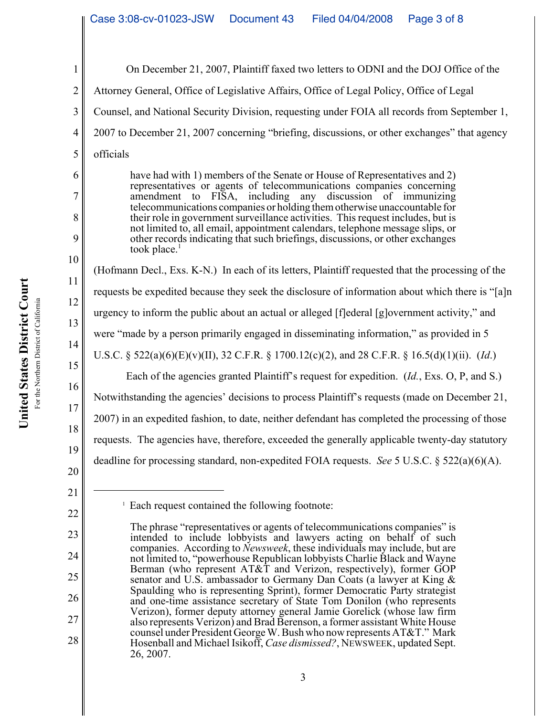1 2 3 4 5 6 7 8 9 10 11 12 13 14 15 16 17 18 19 20 21 22 23 24 25 <sup>1</sup> Each request contained the following footnote: The phrase "representatives or agents of telecommunications companies" is intended to include lobbyists and lawyers acting on behalf of such companies. According to *Newsweek*, these individuals may include, but are not limited to, "powerhouse Republican lobbyists Charlie Black and Wayne Berman (who represent AT&T and Verizon, respectively), former GOP senator and U.S. ambassador to Germany Dan Coats (a lawyer at King  $\&$ On December 21, 2007, Plaintiff faxed two letters to ODNI and the DOJ Office of the Attorney General, Office of Legislative Affairs, Office of Legal Policy, Office of Legal Counsel, and National Security Division, requesting under FOIA all records from September 1, 2007 to December 21, 2007 concerning "briefing, discussions, or other exchanges" that agency officials have had with 1) members of the Senate or House of Representatives and 2) representatives or agents of telecommunications companies concerning amendment to FISA, including any discussion of immunizing telecommunications companies or holding themotherwise unaccountable for their role in government surveillance activities. This request includes, but is not limited to, all email, appointment calendars, telephone message slips, or other records indicating that such briefings, discussions, or other exchanges took place.<sup>1</sup> (Hofmann Decl., Exs. K-N.) In each of its letters, Plaintiff requested that the processing of the requests be expedited because they seek the disclosure of information about which there is "[a]n urgency to inform the public about an actual or alleged [f]ederal [g]overnment activity," and were "made by a person primarily engaged in disseminating information," as provided in 5 U.S.C. § 522(a)(6)(E)(v)(II), 32 C.F.R. § 1700.12(c)(2), and 28 C.F.R. § 16.5(d)(1)(ii). (*Id*.) Each of the agencies granted Plaintiff's request for expedition. (*Id.*, Exs. O, P, and S.) Notwithstanding the agencies' decisions to process Plaintiff's requests (made on December 21, 2007) in an expedited fashion, to date, neither defendant has completed the processing of those requests. The agencies have, therefore, exceeded the generally applicable twenty-day statutory deadline for processing standard, non-expedited FOIA requests. *See* 5 U.S.C. § 522(a)(6)(A).

Spaulding who is representing Sprint), former Democratic Party strategist and one-time assistance secretary of State Tom Donilon (who represents Verizon), former deputy attorney general Jamie Gorelick (whose law firm also represents Verizon) and Brad Berenson, a former assistant White House counsel under President George W. Bush who now represents AT&T." Mark Hosenball and Michael Isikoff, *Case dismissed?*, NEWSWEEK, updated Sept. 26, 2007.

26

27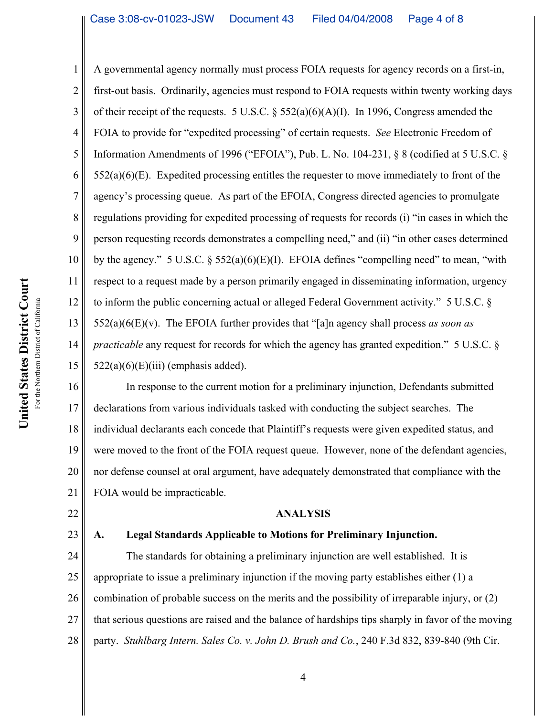13 A governmental agency normally must process FOIA requests for agency records on a first-in, first-out basis. Ordinarily, agencies must respond to FOIA requests within twenty working days of their receipt of the requests. 5 U.S.C.  $\S 552(a)(6)(A)(I)$ . In 1996, Congress amended the FOIA to provide for "expedited processing" of certain requests. *See* Electronic Freedom of Information Amendments of 1996 ("EFOIA"), Pub. L. No. 104-231, § 8 (codified at 5 U.S.C. §  $552(a)(6)(E)$ . Expedited processing entitles the requester to move immediately to front of the agency's processing queue. As part of the EFOIA, Congress directed agencies to promulgate regulations providing for expedited processing of requests for records (i) "in cases in which the person requesting records demonstrates a compelling need," and (ii) "in other cases determined by the agency." 5 U.S.C. § 552(a)(6)(E)(I). EFOIA defines "compelling need" to mean, "with respect to a request made by a person primarily engaged in disseminating information, urgency to inform the public concerning actual or alleged Federal Government activity." 5 U.S.C. § 552(a)(6(E)(v). The EFOIA further provides that "[a]n agency shall process *as soon as practicable* any request for records for which the agency has granted expedition." 5 U.S.C. §  $522(a)(6)(E)(iii)$  (emphasis added).

16 17 18 19 20 21 In response to the current motion for a preliminary injunction, Defendants submitted declarations from various individuals tasked with conducting the subject searches. The individual declarants each concede that Plaintiff's requests were given expedited status, and were moved to the front of the FOIA request queue. However, none of the defendant agencies, nor defense counsel at oral argument, have adequately demonstrated that compliance with the FOIA would be impracticable.

### **ANALYSIS**

22 23

1

2

3

4

5

6

7

8

9

10

11

12

14

15

# **A. Legal Standards Applicable to Motions for Preliminary Injunction.**

24 25 26 27 28 The standards for obtaining a preliminary injunction are well established. It is appropriate to issue a preliminary injunction if the moving party establishes either (1) a combination of probable success on the merits and the possibility of irreparable injury, or (2) that serious questions are raised and the balance of hardships tips sharply in favor of the moving party. *Stuhlbarg Intern. Sales Co. v. John D. Brush and Co.*, 240 F.3d 832, 839-840 (9th Cir.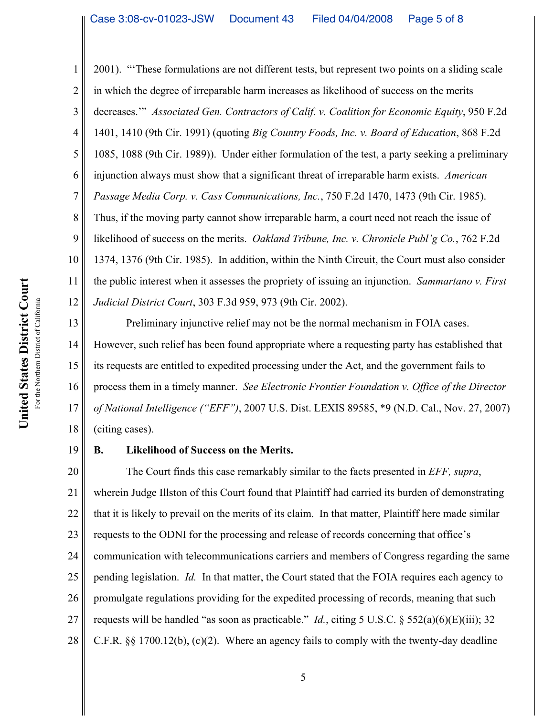1 2 3 4 5 6 7 8 9 10 11 12 2001). "'These formulations are not different tests, but represent two points on a sliding scale in which the degree of irreparable harm increases as likelihood of success on the merits decreases.'" *Associated Gen. Contractors of Calif. v. Coalition for Economic Equity*, 950 F.2d 1401, 1410 (9th Cir. 1991) (quoting *Big Country Foods, Inc. v. Board of Education*, 868 F.2d 1085, 1088 (9th Cir. 1989)). Under either formulation of the test, a party seeking a preliminary injunction always must show that a significant threat of irreparable harm exists. *American Passage Media Corp. v. Cass Communications, Inc.*, 750 F.2d 1470, 1473 (9th Cir. 1985). Thus, if the moving party cannot show irreparable harm, a court need not reach the issue of likelihood of success on the merits. *Oakland Tribune, Inc. v. Chronicle Publ'g Co.*, 762 F.2d 1374, 1376 (9th Cir. 1985). In addition, within the Ninth Circuit, the Court must also consider the public interest when it assesses the propriety of issuing an injunction. *Sammartano v. First Judicial District Court*, 303 F.3d 959, 973 (9th Cir. 2002).

13 14 15 16 17 18 Preliminary injunctive relief may not be the normal mechanism in FOIA cases. However, such relief has been found appropriate where a requesting party has established that its requests are entitled to expedited processing under the Act, and the government fails to process them in a timely manner. *See Electronic Frontier Foundation v. Office of the Director of National Intelligence ("EFF")*, 2007 U.S. Dist. LEXIS 89585, \*9 (N.D. Cal., Nov. 27, 2007) (citing cases).

19

# **B. Likelihood of Success on the Merits.**

20 21 22 23 24 25 26 27 28 The Court finds this case remarkably similar to the facts presented in *EFF, supra*, wherein Judge Illston of this Court found that Plaintiff had carried its burden of demonstrating that it is likely to prevail on the merits of its claim. In that matter, Plaintiff here made similar requests to the ODNI for the processing and release of records concerning that office's communication with telecommunications carriers and members of Congress regarding the same pending legislation. *Id.* In that matter, the Court stated that the FOIA requires each agency to promulgate regulations providing for the expedited processing of records, meaning that such requests will be handled "as soon as practicable." *Id.*, citing 5 U.S.C. § 552(a)(6)(E)(iii); 32 C.F.R. §§ 1700.12(b), (c)(2). Where an agency fails to comply with the twenty-day deadline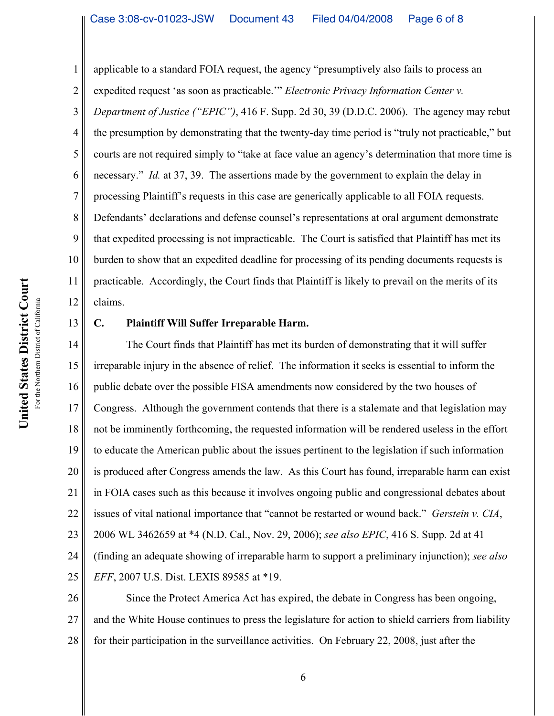applicable to a standard FOIA request, the agency "presumptively also fails to process an expedited request 'as soon as practicable.'" *Electronic Privacy Information Center v.*

3 4 5 8 9 10 11 12 *Department of Justice ("EPIC")*, 416 F. Supp. 2d 30, 39 (D.D.C. 2006). The agency may rebut the presumption by demonstrating that the twenty-day time period is "truly not practicable," but courts are not required simply to "take at face value an agency's determination that more time is necessary." *Id.* at 37, 39. The assertions made by the government to explain the delay in processing Plaintiff's requests in this case are generically applicable to all FOIA requests. Defendants' declarations and defense counsel's representations at oral argument demonstrate that expedited processing is not impracticable. The Court is satisfied that Plaintiff has met its burden to show that an expedited deadline for processing of its pending documents requests is practicable. Accordingly, the Court finds that Plaintiff is likely to prevail on the merits of its claims.

#### 13

1

2

6

7

### **C. Plaintiff Will Suffer Irreparable Harm.**

14 15 16 17 18 19 20 21 22 23 24 25 The Court finds that Plaintiff has met its burden of demonstrating that it will suffer irreparable injury in the absence of relief. The information it seeks is essential to inform the public debate over the possible FISA amendments now considered by the two houses of Congress. Although the government contends that there is a stalemate and that legislation may not be imminently forthcoming, the requested information will be rendered useless in the effort to educate the American public about the issues pertinent to the legislation if such information is produced after Congress amends the law. As this Court has found, irreparable harm can exist in FOIA cases such as this because it involves ongoing public and congressional debates about issues of vital national importance that "cannot be restarted or wound back." *Gerstein v. CIA*, 2006 WL 3462659 at \*4 (N.D. Cal., Nov. 29, 2006); *see also EPIC*, 416 S. Supp. 2d at 41 (finding an adequate showing of irreparable harm to support a preliminary injunction); *see also EFF*, 2007 U.S. Dist. LEXIS 89585 at \*19.

26 27 28 Since the Protect America Act has expired, the debate in Congress has been ongoing, and the White House continues to press the legislature for action to shield carriers from liability for their participation in the surveillance activities. On February 22, 2008, just after the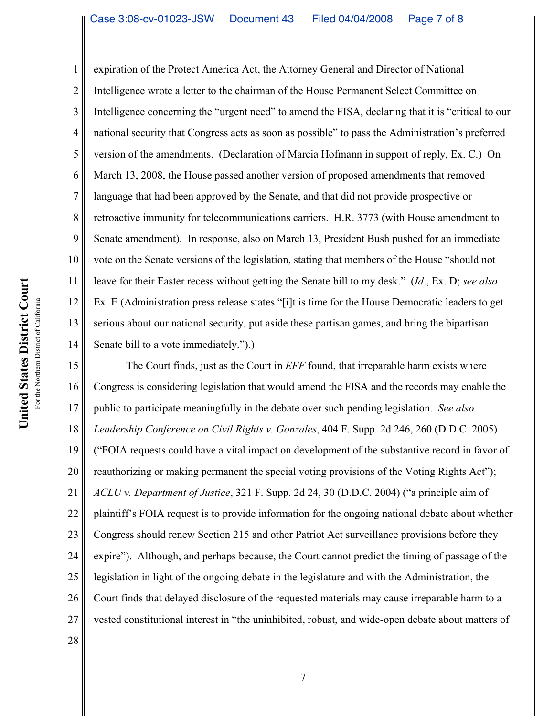4 10 11 12 13 14 expiration of the Protect America Act, the Attorney General and Director of National Intelligence wrote a letter to the chairman of the House Permanent Select Committee on Intelligence concerning the "urgent need" to amend the FISA, declaring that it is "critical to our national security that Congress acts as soon as possible" to pass the Administration's preferred version of the amendments. (Declaration of Marcia Hofmann in support of reply, Ex. C.) On March 13, 2008, the House passed another version of proposed amendments that removed language that had been approved by the Senate, and that did not provide prospective or retroactive immunity for telecommunications carriers. H.R. 3773 (with House amendment to Senate amendment). In response, also on March 13, President Bush pushed for an immediate vote on the Senate versions of the legislation, stating that members of the House "should not leave for their Easter recess without getting the Senate bill to my desk." (*Id*., Ex. D; *see also* Ex. E (Administration press release states "[i]t is time for the House Democratic leaders to get serious about our national security, put aside these partisan games, and bring the bipartisan Senate bill to a vote immediately.").)

15 16 17 18 19 20 21 22 23 24 25 26 27 28 The Court finds, just as the Court in *EFF* found, that irreparable harm exists where Congress is considering legislation that would amend the FISA and the records may enable the public to participate meaningfully in the debate over such pending legislation. *See also Leadership Conference on Civil Rights v. Gonzales*, 404 F. Supp. 2d 246, 260 (D.D.C. 2005) ("FOIA requests could have a vital impact on development of the substantive record in favor of reauthorizing or making permanent the special voting provisions of the Voting Rights Act"); *ACLU v. Department of Justice*, 321 F. Supp. 2d 24, 30 (D.D.C. 2004) ("a principle aim of plaintiff's FOIA request is to provide information for the ongoing national debate about whether Congress should renew Section 215 and other Patriot Act surveillance provisions before they expire"). Although, and perhaps because, the Court cannot predict the timing of passage of the legislation in light of the ongoing debate in the legislature and with the Administration, the Court finds that delayed disclosure of the requested materials may cause irreparable harm to a vested constitutional interest in "the uninhibited, robust, and wide-open debate about matters of

1

2

3

5

6

7

8

9